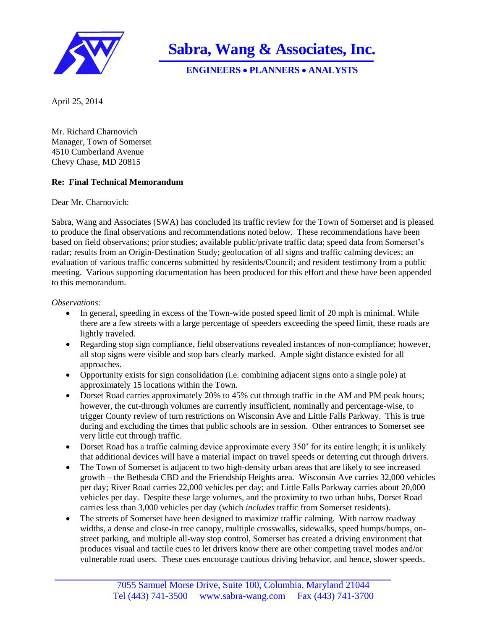

**Sabra, Wang & Associates, Inc.**

**ENGINEERS PLANNERS ANALYSTS**

April 25, 2014

Mr. Richard Charnovich Manager, Town of Somerset 4510 Cumberland Avenue Chevy Chase, MD 20815

## **Re: Final Technical Memorandum**

Dear Mr. Charnovich:

Sabra, Wang and Associates (SWA) has concluded its traffic review for the Town of Somerset and is pleased to produce the final observations and recommendations noted below. These recommendations have been based on field observations; prior studies; available public/private traffic data; speed data from Somerset's radar; results from an Origin-Destination Study; geolocation of all signs and traffic calming devices; an evaluation of various traffic concerns submitted by residents/Council; and resident testimony from a public meeting. Various supporting documentation has been produced for this effort and these have been appended to this memorandum.

## *Observations:*

- In general, speeding in excess of the Town-wide posted speed limit of 20 mph is minimal. While there are a few streets with a large percentage of speeders exceeding the speed limit, these roads are lightly traveled.
- Regarding stop sign compliance, field observations revealed instances of non-compliance; however, all stop signs were visible and stop bars clearly marked. Ample sight distance existed for all approaches.
- Opportunity exists for sign consolidation (i.e. combining adjacent signs onto a single pole) at approximately 15 locations within the Town.
- Dorset Road carries approximately 20% to 45% cut through traffic in the AM and PM peak hours; however, the cut-through volumes are currently insufficient, nominally and percentage-wise, to trigger County review of turn restrictions on Wisconsin Ave and Little Falls Parkway. This is true during and excluding the times that public schools are in session. Other entrances to Somerset see very little cut through traffic.
- Dorset Road has a traffic calming device approximate every 350' for its entire length; it is unlikely that additional devices will have a material impact on travel speeds or deterring cut through drivers.
- The Town of Somerset is adjacent to two high-density urban areas that are likely to see increased growth – the Bethesda CBD and the Friendship Heights area. Wisconsin Ave carries 32,000 vehicles per day; River Road carries 22,000 vehicles per day; and Little Falls Parkway carries about 20,000 vehicles per day. Despite these large volumes, and the proximity to two urban hubs, Dorset Road carries less than 3,000 vehicles per day (which *includes* traffic from Somerset residents).
- The streets of Somerset have been designed to maximize traffic calming. With narrow roadway widths, a dense and close-in tree canopy, multiple crosswalks, sidewalks, speed humps/bumps, onstreet parking, and multiple all-way stop control, Somerset has created a driving environment that produces visual and tactile cues to let drivers know there are other competing travel modes and/or vulnerable road users. These cues encourage cautious driving behavior, and hence, slower speeds.